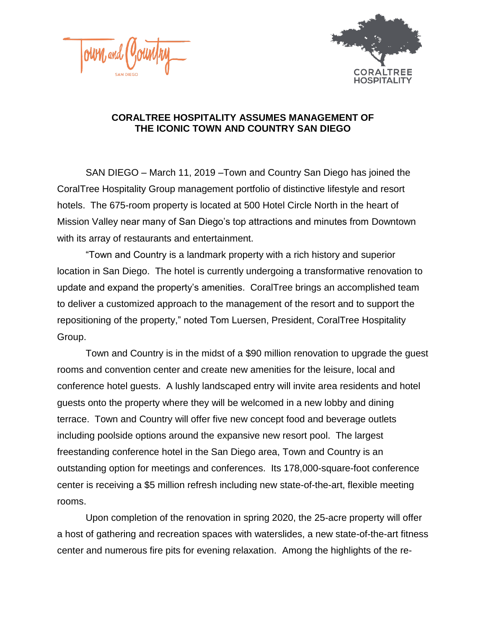



## **CORALTREE HOSPITALITY ASSUMES MANAGEMENT OF THE ICONIC TOWN AND COUNTRY SAN DIEGO**

SAN DIEGO – March 11, 2019 –Town and Country San Diego has joined the CoralTree Hospitality Group management portfolio of distinctive lifestyle and resort hotels. The 675-room property is located at 500 Hotel Circle North in the heart of Mission Valley near many of San Diego's top attractions and minutes from Downtown with its array of restaurants and entertainment.

"Town and Country is a landmark property with a rich history and superior location in San Diego. The hotel is currently undergoing a transformative renovation to update and expand the property's amenities. CoralTree brings an accomplished team to deliver a customized approach to the management of the resort and to support the repositioning of the property," noted Tom Luersen, President, CoralTree Hospitality Group.

Town and Country is in the midst of a \$90 million renovation to upgrade the guest rooms and convention center and create new amenities for the leisure, local and conference hotel guests. A lushly landscaped entry will invite area residents and hotel guests onto the property where they will be welcomed in a new lobby and dining terrace. Town and Country will offer five new concept food and beverage outlets including poolside options around the expansive new resort pool. The largest freestanding conference hotel in the San Diego area, Town and Country is an outstanding option for meetings and conferences. Its 178,000-square-foot conference center is receiving a \$5 million refresh including new state-of-the-art, flexible meeting rooms.

Upon completion of the renovation in spring 2020, the 25-acre property will offer a host of gathering and recreation spaces with waterslides, a new state-of-the-art fitness center and numerous fire pits for evening relaxation. Among the highlights of the re